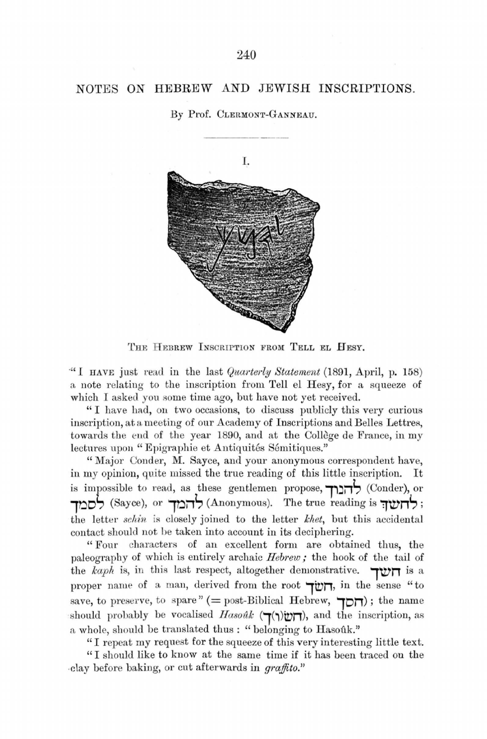## NOTES ON HEBREW AND JEWISH INSCRIPTIONS.

By Prof. CLERMONT-GANNEAU.



THE HEBREW INSCRIPTION FROM TELL EL HESY.

·" *I* HAVE just read in the last *Quai·terly Statement* (1891, April, p. 158) a note relating to the inscription from Tell el Hesy, for a squeeze of which I asked you some time ago, but have not yet received.

"I have had, on two occasions, to discuss publicly this very curious inscription, at a meeting of our Academy of Inscriptions and Belles Lettres, towards the end of the year 1890, and at the Collège de France, in my lectures upon "Epigraphie et Antiquités Sémitiques."

"Major Conder, M. Sayce, and your anonymous correspondent have, in my opinion, quite missed the true reading of this little inscription. It is impossible to read, as these gentlemen propose, **דהברך** (Conder), or **1ooi,** (Sayce), or **7oi1S** (Anonymous). The true reading is **1wnS ;**  the letter *schin* is closely joined to the letter *lchet,* but this accidental contact should not be taken into account in its deciphering.

"Four characters of an excellent form are obtained thus, the paleography of which is entirely archaic *Hebrew*; the hook of the tail of the *kap/1* is, in this last respect, altogether demonstrative. **7Wn** is a proper name of a man, derived from the root **707**, in the sense "to save, to preserve, to spare" (= post-Biblical Hebrew,  $\Box$ ); the name should probably be vocalised *Hasouk* (דומל), and the inscription, as a whole, should be translated thus : "belonging to Hasouk."

"I repeat my request for the squeeze of this very interesting little text. "I should like to know at the same time if it has been traced on the .clay before baking, or cut afterwards in *graffito."*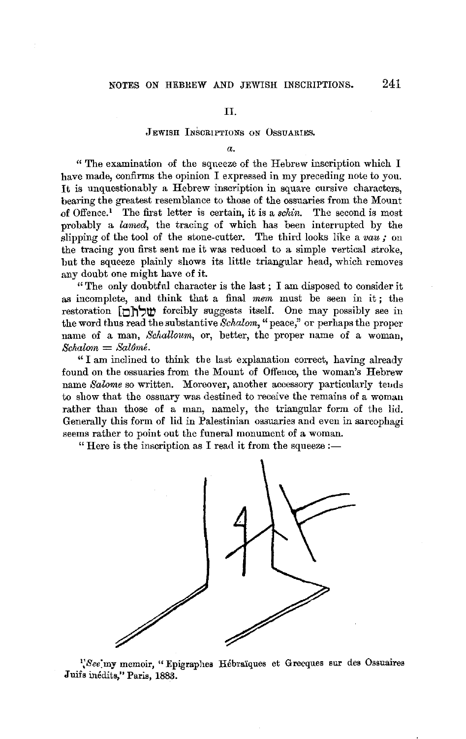## II.

## JEWISH INSCRIPTIONS oN OssuARIES.

*a.* 

" The examination of the squeeze of the Hebrew inscription which I have made, confirms the opinion I expressed in my preceding note to you. It is unquestionably a Hebrew inscription in square cursive characters, bearing the greatest resemblance to those of the ossuaries from the Mount of Offence.<sup>1</sup> The first letter is certain, it is a *schin*. The second is most probably a *larned,* the tracing of which has been interrupted by the slipping of the tool of the stone-cutter. The third looks like a *vau;* on the tracing you first sent me it was reduced to a simple vertical stroke, but the squeeze plainly shows its little triangular head, which removes any doubt one might have of it.

" The only doubtfnl character is the last ; I am disposed to consider it as incomplete, and think that a final *mem* must be seen in it; the restoration **[O]** (i) forcibly suggests itself. One may possibly see in the word thus read the substantive *Schalom*, "peace," or perhaps the proper name of a man, *Sclialloum,* or, better, the proper name of a woman,  $Schalom = Sal6mé.$ 

"I am inclined to think the last explanation correct, having already found on the ossuaries from the Mount of Offence, the woman's Hebrew name *Salome* so written. Moreover, another accessory particularly tends to show that the ossuary was destined to receive the remains of a woman rather than those of a man, namely, the triangular form of the lid. Generally this form of lid in Palestinian ossuaries and even in sarcophagi seems rather to point out the funeral monument of a woman.

" Here is the inscription as I read it from the squeeze  $:$ 



<sup>1</sup>, See'my memoir, "Epigraphes Hébraïques et Grecques sur des Ossuaires Juifs inédits," Paris, 1883.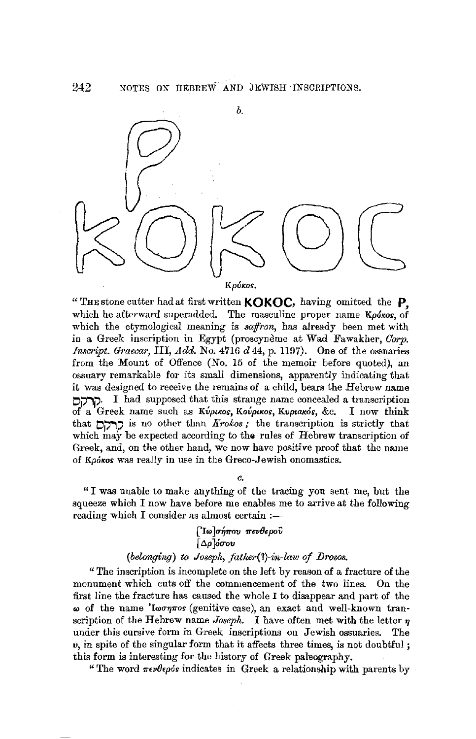



" THE stone cutter had at first written **KOK QC,** having omitted the **P,**  which he afterward superadded. The masculine proper name  $K\rho\acute{o}$  of which the etymological meaning is *saffron,* has already been met with in a Greek inscription in Egypt (proscynème at Wad Fawakher, *Corp. Inscript. Graecar, III, Add.* No. 4716  $d$  44, p. 1197). One of the ossuaries from the Mount of Offence (No. 15 of the memoir before quoted), an ossuary remarkable for its small dimensions, apparently indicating that it was designed to receive the remains of a child, bears the Hebrew name.<br>  $\Gamma$ . I had supposed that this strange name concealed a transcription of a Greek name such as *Κύρικος*, Κούρικος, Κυριακός, &c. I now think that **Oj1"\l'** is no other than *Krokos;* the transcription is strictly that which may be expected according to the rules of Hebrew transcription of Greek, and, on the other hand, we now have positive proof that the name of Kpókos was really in use in the Greco-Jewish onomastics.

*c.* 

"I was unable to make anything of the tracing you sent me, but the squeeze which I now have before me enables me to arrive at the following reading which I consider as almost certain  $:$ 

> ['Ιω]σήπου πενθεροῦ *[ Ll.p]oCToV*

## *(belonging) to Joseph, father(1)-in-law of IJrosos.*

"The inscription is incomplete on the left by reason of a fracture of the monument which cuts off the commencement of the two lines. On the first line the fracture has caused the whole I to disappear and part of the  $\omega$  of the name 'I $\omega \sigma \eta \pi \sigma s$  (genitive case), an exact and well-known transcription of the Hebrew name *Joseph.* I have often met with the letter  $\eta$ under this cursive form in Greek inscriptions on Jewish ossuaries. The *v,* in spite of the singular form that it affects three times, is not doubtful ; this form is interesting for the history of Greek paleography.

"The word  $\pi \epsilon \nu \theta \epsilon \rho \delta \epsilon$  indicates in Greek a relationship with parents by